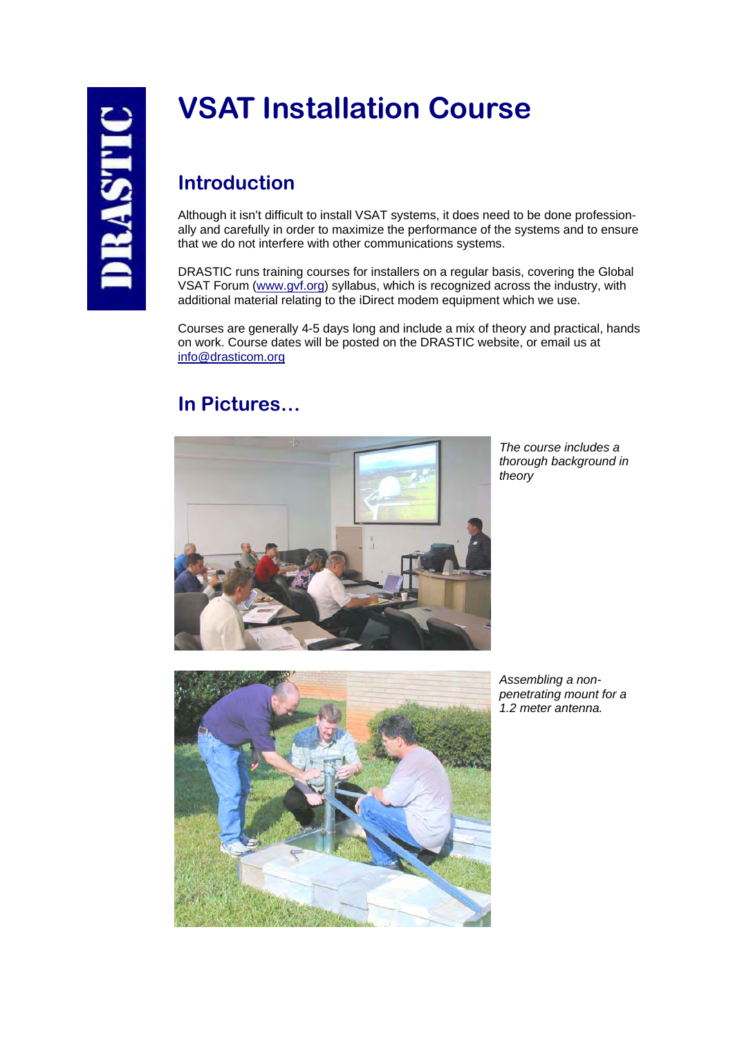# **VSAT Installation Course**

## **Introduction**

Although it isn't difficult to install VSAT systems, it does need to be done professionally and carefully in order to maximize the performance of the systems and to ensure that we do not interfere with other communications systems.

DRASTIC runs training courses for installers on a regular basis, covering the Global VSAT Forum (www.gvf.org) syllabus, which is recognized across the industry, with additional material relating to the iDirect modem equipment which we use.

Courses are generally 4-5 days long and include a mix of theory and practical, hands on work. Course dates will be posted on the DRASTIC website, or email us at info@drasticom.org

## **In Pictures…**



*The course includes a thorough background in theory* 



*Assembling a nonpenetrating mount for a 1.2 meter antenna.*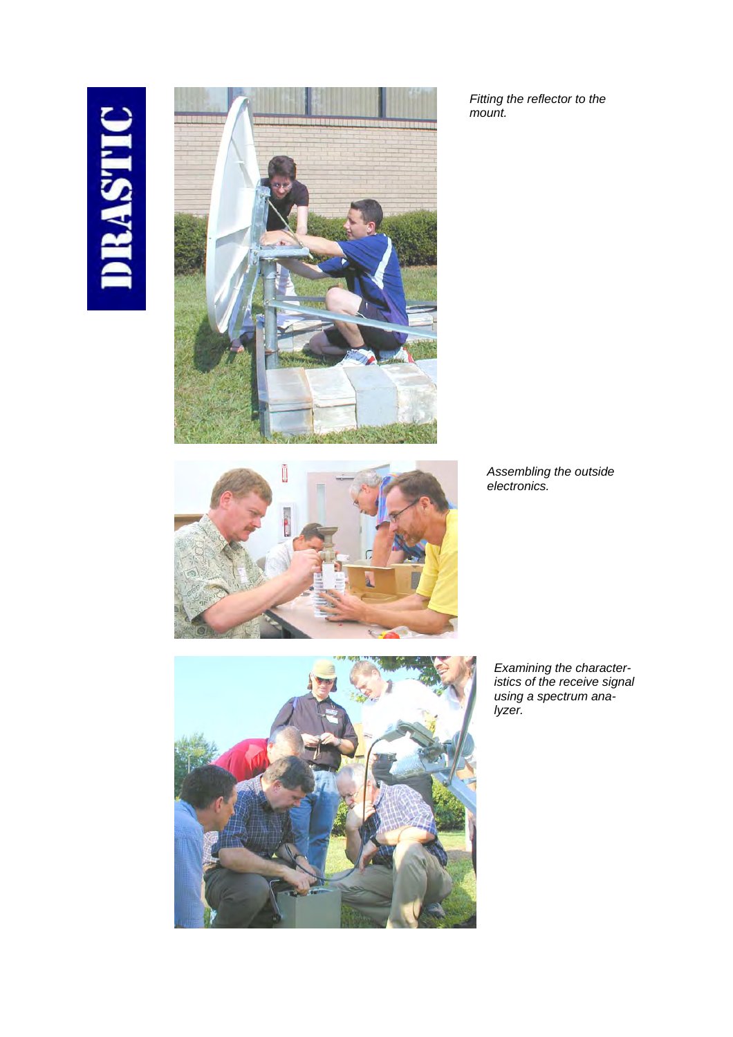# DRASTIC



*Fitting the reflector to the mount.* 

> *Assembling the outside electronics.*

*Examining the characteristics of the receive signal using a spectrum analyzer.*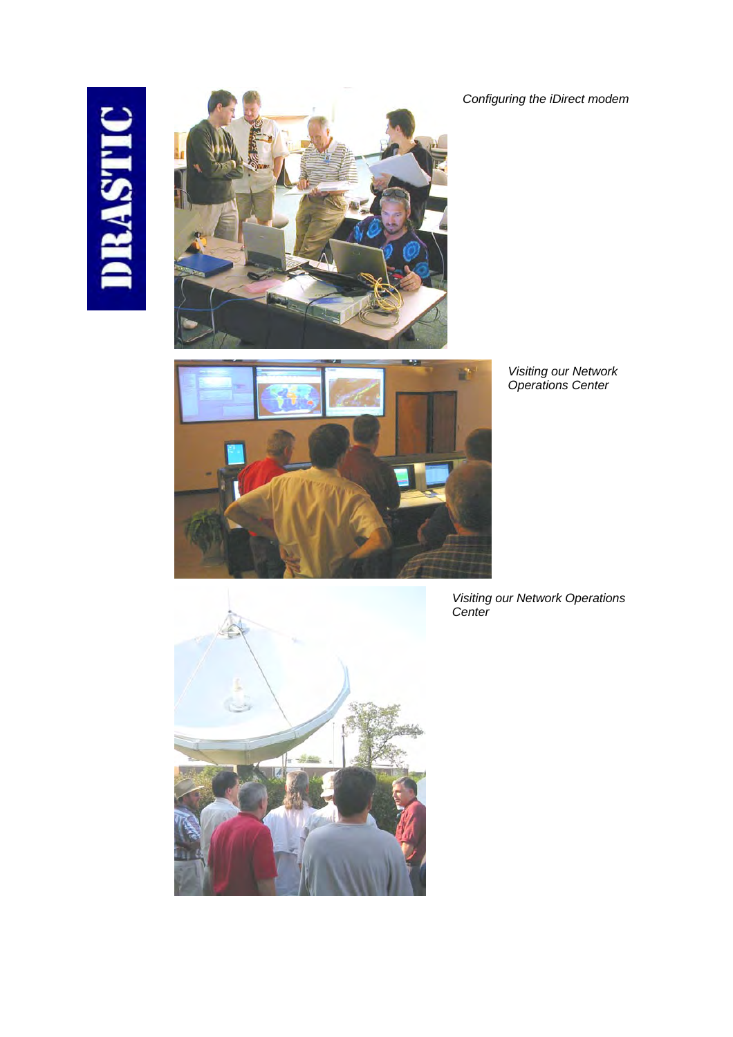# DRASTIC







*Visiting our Network Operations Center*